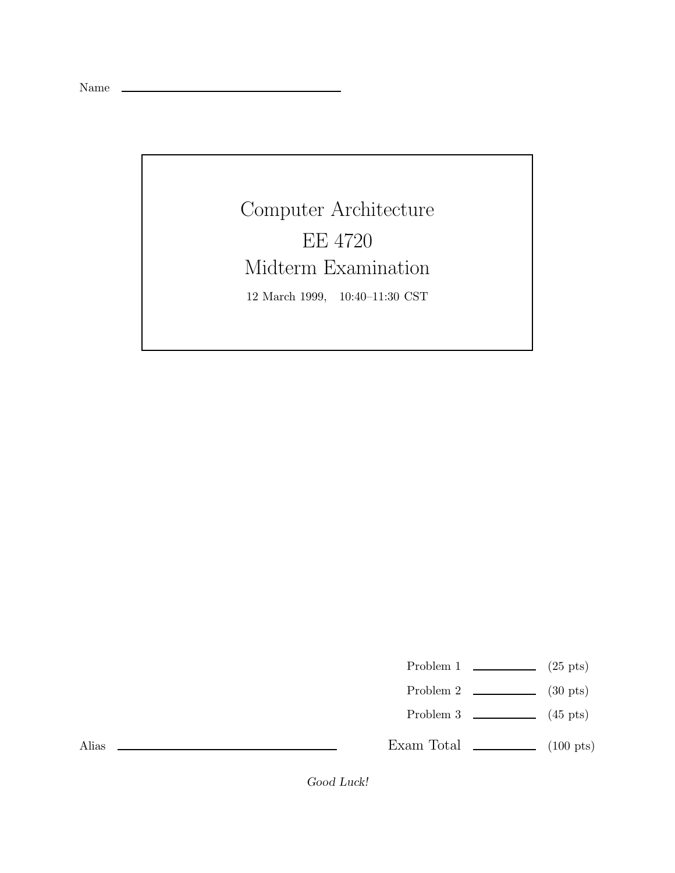Name \_\_

Computer Architecture EE 4720 Midterm Examination 12 March 1999, 10:40–11:30 CST

Problem 1  $\qquad \qquad$  (25 pts)

- Problem 2  $\qquad \qquad$  (30 pts)
- Problem 3  $\qquad \qquad$  (45 pts)

Exam Total  $\qquad \qquad$  (100 pts)

Alias

*Good Luck!*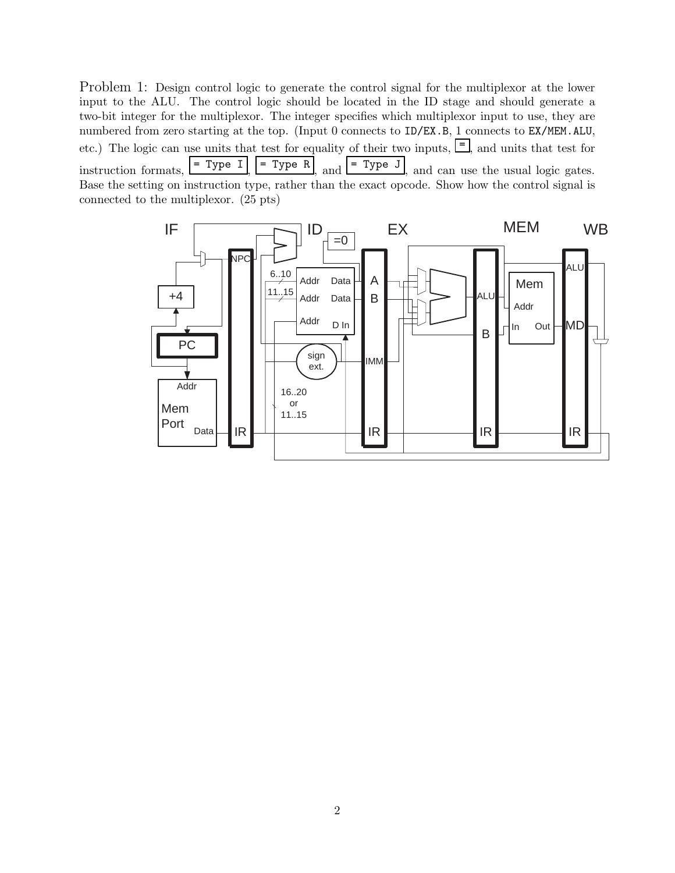Problem 1: Design control logic to generate the control signal for the multiplexor at the lower input to the ALU. The control logic should be located in the ID stage and should generate a two-bit integer for the multiplexor. The integer specifies which multiplexor input to use, they are numbered from zero starting at the top. (Input 0 connects to ID/EX.B, 1 connects to EX/MEM.ALU, etc.) The logic can use units that test for equality of their two inputs,  $\boxed{\equiv}$ , and units that test for instruction formats,  $\boxed{\text{= Type I}}$ ,  $\boxed{\text{= Type R}}$ , and  $\boxed{\text{= Type J}}$ , and can use the usual logic gates. Base the setting on instruction type, rather than the exact opcode. Show how the control signal is connected to the multiplexor. (25 pts)

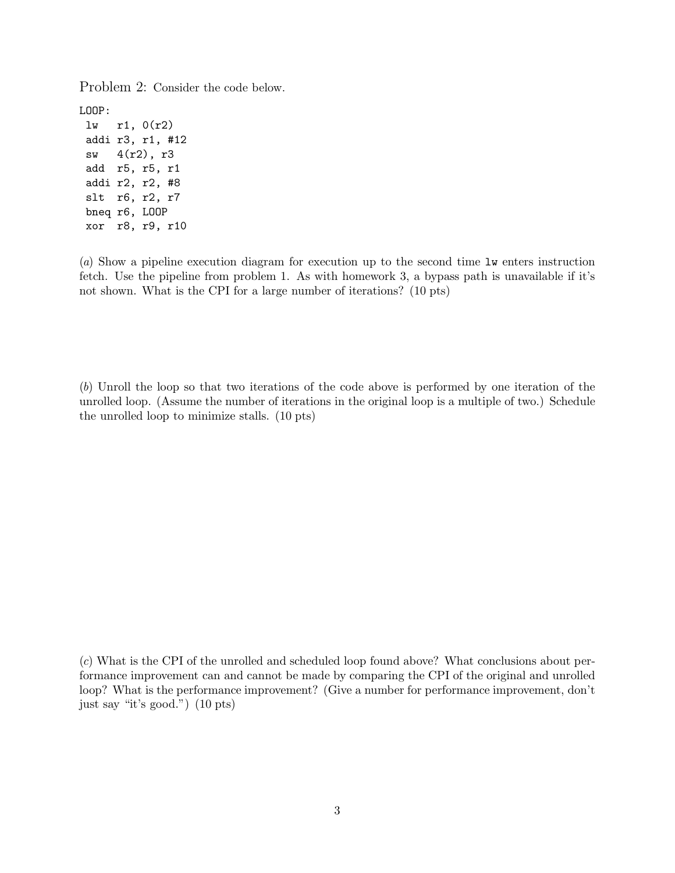Problem 2: Consider the code below.

LOOP:

lw r1, 0(r2) addi r3, r1, #12 sw 4(r2), r3 add r5, r5, r1 addi r2, r2, #8 slt r6, r2, r7 bneq r6, LOOP xor r8, r9, r10

(a) Show a pipeline execution diagram for execution up to the second time lw enters instruction fetch. Use the pipeline from problem 1. As with homework 3, a bypass path is unavailable if it's not shown. What is the CPI for a large number of iterations? (10 pts)

(b) Unroll the loop so that two iterations of the code above is performed by one iteration of the unrolled loop. (Assume the number of iterations in the original loop is a multiple of two.) Schedule the unrolled loop to minimize stalls. (10 pts)

(c) What is the CPI of the unrolled and scheduled loop found above? What conclusions about performance improvement can and cannot be made by comparing the CPI of the original and unrolled loop? What is the performance improvement? (Give a number for performance improvement, don't just say "it's good.") (10 pts)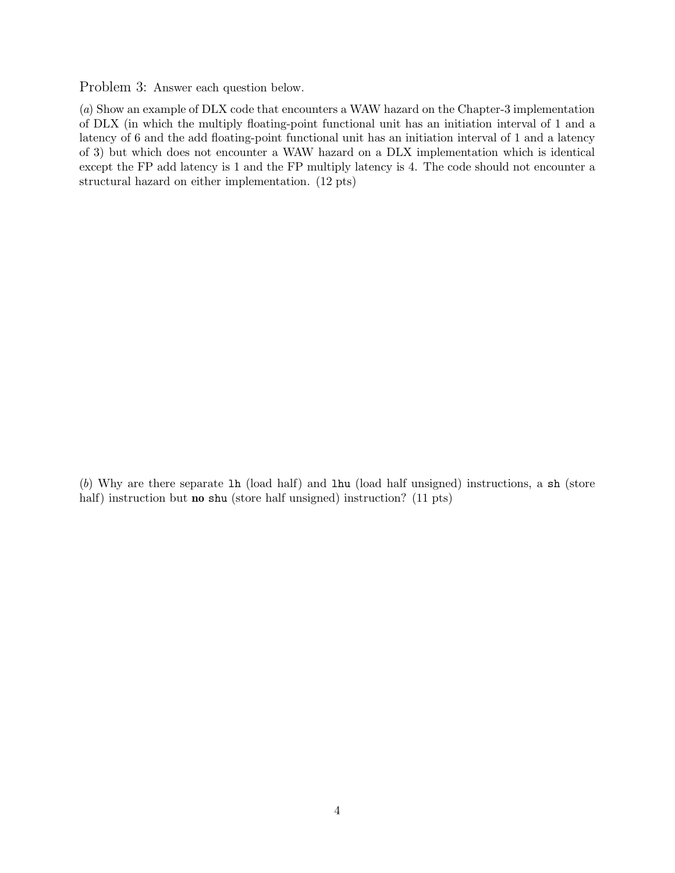Problem 3: Answer each question below.

(a) Show an example of DLX code that encounters a WAW hazard on the Chapter-3 implementation of DLX (in which the multiply floating-point functional unit has an initiation interval of 1 and a latency of 6 and the add floating-point functional unit has an initiation interval of 1 and a latency of 3) but which does not encounter a WAW hazard on a DLX implementation which is identical except the FP add latency is 1 and the FP multiply latency is 4. The code should not encounter a structural hazard on either implementation. (12 pts)

(b) Why are there separate lh (load half) and lhu (load half unsigned) instructions, a sh (store half) instruction but **no** shu (store half unsigned) instruction? (11 pts)